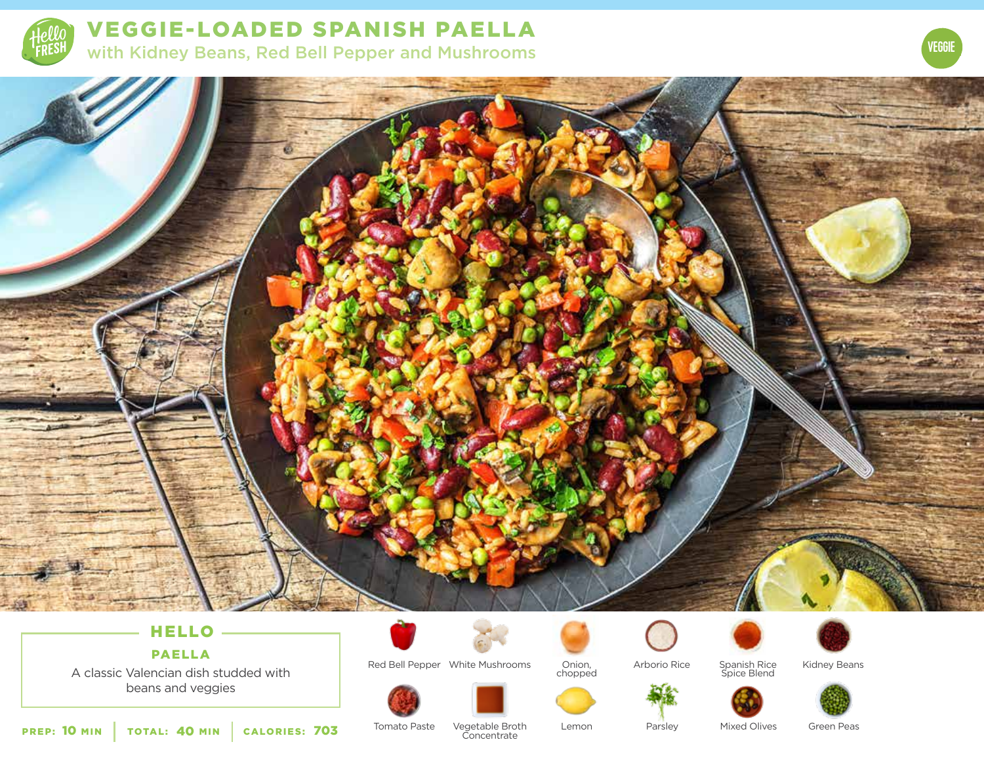

VEGGIE-LOADED SPANISH PAELLA with Kidney Beans, Red Bell Pepper and Mushrooms





# HELLO PAELLA

A classic Valencian dish studded with beans and veggies



Red Bell Pepper White Mushrooms Onion, and Arborio Rice Spanish Rice and Kidney Beans



Arborio Rice Spanish Rice Spice Blend





PREP: 10 MIN | TOTAL: 40 MIN | CALORIES:

Tomato Paste

**703** Tomato Paste Vegetable Broth Lemon Concentrate

Parsley Mixed Olives Green Peas